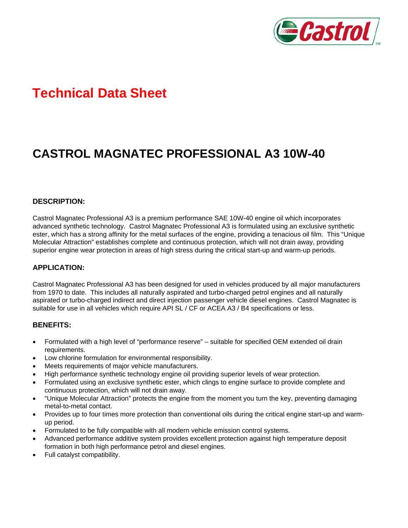

# **Technical Data Sheet**

## **CASTROL MAGNATEC PROFESSIONAL A3 10W-40**

#### **DESCRIPTION:**

Castrol Magnatec Professional A3 is a premium performance SAE 10W-40 engine oil which incorporates advanced synthetic technology. Castrol Magnatec Professional A3 is formulated using an exclusive synthetic ester, which has a strong affinity for the metal surfaces of the engine, providing a tenacious oil film. This "Unique Molecular Attraction" establishes complete and continuous protection, which will not drain away, providing superior engine wear protection in areas of high stress during the critical start-up and warm-up periods.

#### **APPLICATION:**

Castrol Magnatec Professional A3 has been designed for used in vehicles produced by all major manufacturers from 1970 to date. This includes all naturally aspirated and turbo-charged petrol engines and all naturally aspirated or turbo-charged indirect and direct injection passenger vehicle diesel engines. Castrol Magnatec is suitable for use in all vehicles which require API SL / CF or ACEA A3 / B4 specifications or less.

#### **BENEFITS:**

- Formulated with a high level of "performance reserve" suitable for specified OEM extended oil drain requirements.
- Low chlorine formulation for environmental responsibility.
- Meets requirements of major vehicle manufacturers.
- High performance synthetic technology engine oil providing superior levels of wear protection.
- Formulated using an exclusive synthetic ester, which clings to engine surface to provide complete and continuous protection, which will not drain away.
- "Unique Molecular Attraction" protects the engine from the moment you turn the key, preventing damaging metal-to-metal contact.
- Provides up to four times more protection than conventional oils during the critical engine start-up and warmup period.
- Formulated to be fully compatible with all modern vehicle emission control systems.
- Advanced performance additive system provides excellent protection against high temperature deposit formation in both high performance petrol and diesel engines.
- Full catalyst compatibility.